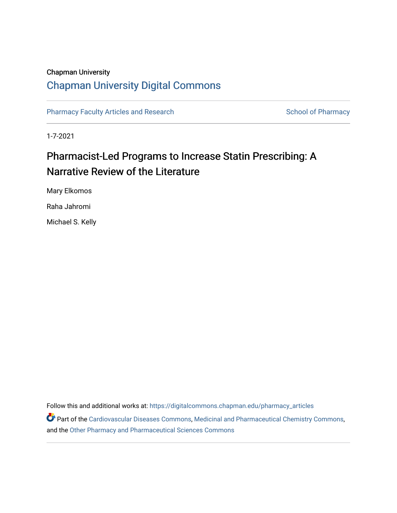# Chapman University [Chapman University Digital Commons](https://digitalcommons.chapman.edu/)

[Pharmacy Faculty Articles and Research](https://digitalcommons.chapman.edu/pharmacy_articles) [School of Pharmacy](https://digitalcommons.chapman.edu/cusp) School of Pharmacy

1-7-2021

# Pharmacist-Led Programs to Increase Statin Prescribing: A Narrative Review of the Literature

Mary Elkomos

Raha Jahromi

Michael S. Kelly

Follow this and additional works at: [https://digitalcommons.chapman.edu/pharmacy\\_articles](https://digitalcommons.chapman.edu/pharmacy_articles?utm_source=digitalcommons.chapman.edu%2Fpharmacy_articles%2F878&utm_medium=PDF&utm_campaign=PDFCoverPages)

Part of the [Cardiovascular Diseases Commons](http://network.bepress.com/hgg/discipline/929?utm_source=digitalcommons.chapman.edu%2Fpharmacy_articles%2F878&utm_medium=PDF&utm_campaign=PDFCoverPages), [Medicinal and Pharmaceutical Chemistry Commons](http://network.bepress.com/hgg/discipline/734?utm_source=digitalcommons.chapman.edu%2Fpharmacy_articles%2F878&utm_medium=PDF&utm_campaign=PDFCoverPages), and the [Other Pharmacy and Pharmaceutical Sciences Commons](http://network.bepress.com/hgg/discipline/737?utm_source=digitalcommons.chapman.edu%2Fpharmacy_articles%2F878&utm_medium=PDF&utm_campaign=PDFCoverPages)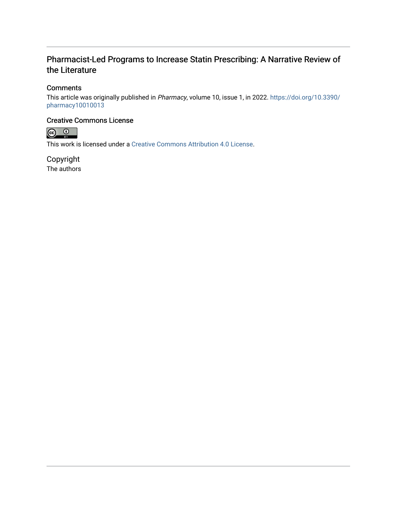### Pharmacist-Led Programs to Increase Statin Prescribing: A Narrative Review of the Literature

### **Comments**

This article was originally published in Pharmacy, volume 10, issue 1, in 2022. [https://doi.org/10.3390/](https://doi.org/10.3390/pharmacy10010013) [pharmacy10010013](https://doi.org/10.3390/pharmacy10010013) 

### Creative Commons License



This work is licensed under a [Creative Commons Attribution 4.0 License](https://creativecommons.org/licenses/by/4.0/).

Copyright The authors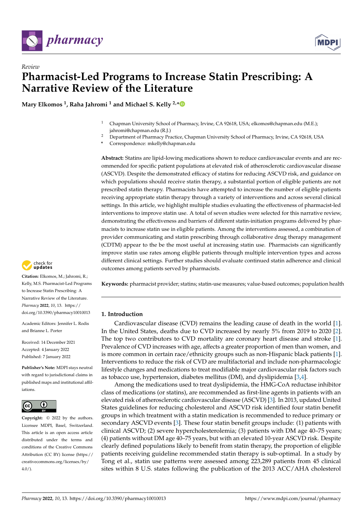

## *Review* **Pharmacist-Led Programs to Increase Statin Prescribing: A Narrative Review of the Literature**

**Mary Elkomos <sup>1</sup> , Raha Jahromi <sup>1</sup> and Michael S. Kelly 2,[\\*](https://orcid.org/0000-0003-4272-8721)**

- <sup>1</sup> Chapman University School of Pharmacy, Irvine, CA 92618, USA; elkomos@chapman.edu (M.E.); jahromi@chapman.edu (R.J.)
- <sup>2</sup> Department of Pharmacy Practice, Chapman University School of Pharmacy, Irvine, CA 92618, USA
- **\*** Correspondence: mkelly@chapman.edu

**Abstract:** Statins are lipid-lowing medications shown to reduce cardiovascular events and are recommended for specific patient populations at elevated risk of atherosclerotic cardiovascular disease (ASCVD). Despite the demonstrated efficacy of statins for reducing ASCVD risk, and guidance on which populations should receive statin therapy, a substantial portion of eligible patients are not prescribed statin therapy. Pharmacists have attempted to increase the number of eligible patients receiving appropriate statin therapy through a variety of interventions and across several clinical settings. In this article, we highlight multiple studies evaluating the effectiveness of pharmacist-led interventions to improve statin use. A total of seven studies were selected for this narrative review, demonstrating the effectiveness and barriers of different statin-initiation programs delivered by pharmacists to increase statin use in eligible patients. Among the interventions assessed, a combination of provider communicating and statin prescribing through collaborative drug therapy management (CDTM) appear to the be the most useful at increasing statin use. Pharmacists can significantly improve statin use rates among eligible patients through multiple intervention types and across different clinical settings. Further studies should evaluate continued statin adherence and clinical outcomes among patients served by pharmacists.



#### **1. Introduction**

Cardiovascular disease (CVD) remains the leading cause of death in the world [\[1\]](#page-11-0). In the United States, deaths due to CVD increased by nearly 5% from 2019 to 2020 [\[2\]](#page-11-1). The top two contributors to CVD mortality are coronary heart disease and stroke [\[1\]](#page-11-0). Prevalence of CVD increases with age, affects a greater proportion of men than women, and is more common in certain race/ethnicity groups such as non-Hispanic black patients [\[1\]](#page-11-0). Interventions to reduce the risk of CVD are multifactorial and include non-pharmacologic lifestyle changes and medications to treat modifiable major cardiovascular risk factors such as tobacco use, hypertension, diabetes mellitus (DM), and dyslipidemia [\[3](#page-11-2)[,4\]](#page-11-3).

Among the medications used to treat dyslipidemia, the HMG-CoA reductase inhibitor class of medications (or statins), are recommended as first-line agents in patients with an elevated risk of atherosclerotic cardiovascular disease (ASCVD) [\[3\]](#page-11-2). In 2013, updated United States guidelines for reducing cholesterol and ASCVD risk identified four statin benefit groups in which treatment with a statin medication is recommended to reduce primary or secondary ASCVD events [\[3\]](#page-11-2). These four statin benefit groups include: (1) patients with clinical ASCVD; (2) severe hypercholesterolemia; (3) patients with DM age 40–75 years; (4) patients without DM age 40–75 years, but with an elevated 10-year ASCVD risk. Despite clearly defined populations likely to benefit from statin therapy, the proportion of eligible patients receiving guideline recommended statin therapy is sub-optimal. In a study by Tong et al., statin use patterns were assessed among 223,289 patients from 45 clinical sites within 8 U.S. states following the publication of the 2013 ACC/AHA cholesterol



**Citation:** Elkomos, M.; Jahromi, R.; Kelly, M.S. Pharmacist-Led Programs to Increase Statin Prescribing: A Narrative Review of the Literature. *Pharmacy* **2022**, *10*, 13. [https://](https://doi.org/10.3390/pharmacy10010013) [doi.org/10.3390/pharmacy10010013](https://doi.org/10.3390/pharmacy10010013)

Academic Editors: Jennifer L. Rodis and Brianne L. Porter

Received: 14 December 2021 Accepted: 4 January 2022 Published: 7 January 2022

**Publisher's Note:** MDPI stays neutral with regard to jurisdictional claims in published maps and institutional affiliations.



**Copyright:** © 2022 by the authors. Licensee MDPI, Basel, Switzerland. This article is an open access article distributed under the terms and conditions of the Creative Commons Attribution (CC BY) license [\(https://](https://creativecommons.org/licenses/by/4.0/) [creativecommons.org/licenses/by/](https://creativecommons.org/licenses/by/4.0/)  $4.0/$ ).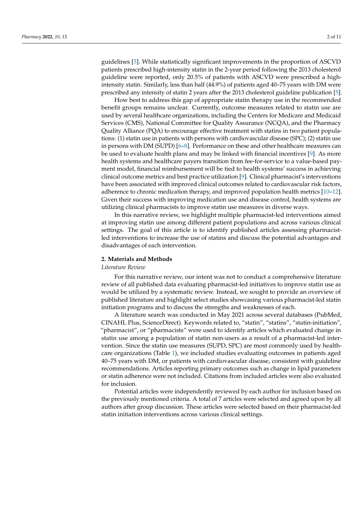guidelines [\[5\]](#page-11-4). While statistically significant improvements in the proportion of ASCVD patients prescribed high-intensity statin in the 2-year period following the 2013 cholesterol guideline were reported, only 20.5% of patients with ASCVD were prescribed a highintensity statin. Similarly, less than half (44.9%) of patients aged 40–75 years with DM were prescribed any intensity of statin 2 years after the 2013 cholesterol guideline publication [\[5\]](#page-11-4).

How best to address this gap of appropriate statin therapy use in the recommended benefit groups remains unclear. Currently, outcome measures related to statin use are used by several healthcare organizations, including the Centers for Medicare and Medicaid Services (CMS), National Committee for Quality Assurance (NCQA), and the Pharmacy Quality Alliance (PQA) to encourage effective treatment with statins in two patient populations: (1) statin use in patients with persons with cardiovascular disease (SPC); (2) statin use in persons with DM (SUPD) [\[6](#page-11-5)[–8\]](#page-11-6). Performance on these and other healthcare measures can be used to evaluate health plans and may be linked with financial incentives [\[9\]](#page-11-7). As more health systems and healthcare payers transition from fee-for-service to a value-based payment model, financial reimbursement will be tied to health systems' success in achieving clinical outcome metrics and best practice utilization [\[9\]](#page-11-7). Clinical pharmacist's interventions have been associated with improved clinical outcomes related to cardiovascular risk factors, adherence to chronic medication therapy, and improved population health metrics [\[10](#page-11-8)[–12\]](#page-11-9). Given their success with improving medication use and disease control, health systems are utilizing clinical pharmacists to improve statin use measures in diverse ways.

In this narrative review, we highlight multiple pharmacist-led interventions aimed at improving statin use among different patient populations and across various clinical settings. The goal of this article is to identify published articles assessing pharmacistled interventions to increase the use of statins and discuss the potential advantages and disadvantages of each intervention.

#### **2. Materials and Methods**

#### *Literature Review*

For this narrative review, our intent was not to conduct a comprehensive literature review of all published data evaluating pharmacist-led initiatives to improve statin use as would be utilized by a systematic review. Instead, we sought to provide an overview of published literature and highlight select studies showcasing various pharmacist-led statin initiation programs and to discuss the strengths and weaknesses of each.

A literature search was conducted in May 2021 across several databases (PubMed, CINAHL Plus, ScienceDirect). Keywords related to, "statin", "statins", "statin-initiation", "pharmacist", or "pharmacists" were used to identify articles which evaluated change in statin use among a population of statin non-users as a result of a pharmacist-led intervention. Since the statin use measures (SUPD, SPC) are most commonly used by healthcare organizations (Table [1\)](#page-4-0), we included studies evaluating outcomes in patients aged 40–75 years with DM, or patients with cardiovascular disease, consistent with guideline recommendations. Articles reporting primary outcomes such as change in lipid parameters or statin adherence were not included. Citations from included articles were also evaluated for inclusion.

Potential articles were independently reviewed by each author for inclusion based on the previously mentioned criteria. A total of 7 articles were selected and agreed upon by all authors after group discussion. These articles were selected based on their pharmacist-led statin initiation interventions across various clinical settings.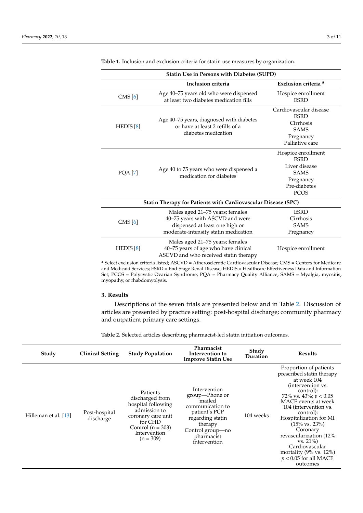| <b>Statin Use in Persons with Diabetes (SUPD)</b> |                                                                                                                                              |                                                                                                               |  |  |  |  |  |
|---------------------------------------------------|----------------------------------------------------------------------------------------------------------------------------------------------|---------------------------------------------------------------------------------------------------------------|--|--|--|--|--|
|                                                   | Inclusion criteria                                                                                                                           | Exclusion criteria <sup>a</sup>                                                                               |  |  |  |  |  |
| CMS [6]                                           | Age 40-75 years old who were dispensed<br>at least two diabetes medication fills                                                             | Hospice enrollment<br><b>ESRD</b>                                                                             |  |  |  |  |  |
| HEDIS $[8]$                                       | Age 40-75 years, diagnosed with diabetes<br>or have at least 2 refills of a<br>diabetes medication                                           | Cardiovascular disease<br><b>ESRD</b><br>Cirrhosis<br><b>SAMS</b><br>Pregnancy<br>Palliative care             |  |  |  |  |  |
| <b>PQA</b> [7]                                    | Age 40 to 75 years who were dispensed a<br>medication for diabetes                                                                           | Hospice enrollment<br><b>ESRD</b><br>Liver disease<br><b>SAMS</b><br>Pregnancy<br>Pre-diabetes<br><b>PCOS</b> |  |  |  |  |  |
|                                                   | Statin Therapy for Patients with Cardiovascular Disease (SPC)                                                                                |                                                                                                               |  |  |  |  |  |
| CMS [6]                                           | Males aged 21-75 years; females<br>40-75 years with ASCVD and were<br>dispensed at least one high or<br>moderate-intensity statin medication | <b>ESRD</b><br>Cirrhosis<br><b>SAMS</b><br>Pregnancy                                                          |  |  |  |  |  |
| HEDIS $[8]$                                       | Males aged 21-75 years; females<br>40-75 years of age who have clinical<br>ASCVD and who received statin therapy                             | Hospice enrollment                                                                                            |  |  |  |  |  |

<span id="page-4-0"></span>**Table 1.** Inclusion and exclusion criteria for statin use measures by organization.

**<sup>a</sup>** Select exclusion criteria listed; ASCVD = Atherosclerotic Cardiovascular Disease; CMS = Centers for Medicare and Medicaid Services; ESRD = End-Stage Renal Disease; HEDIS = Healthcare Effectiveness Data and Information Set; PCOS = Polycystic Ovarian Syndrome; PQA = Pharmacy Quality Alliance; SAMS = Myalgia, myositis, myopathy, or rhabdomyolysis.

#### **3. Results**

Descriptions of the seven trials are presented below and in Table [2.](#page-5-0) Discussion of articles are presented by practice setting: post-hospital discharge; community pharmacy and outpatient primary care settings.

**Table 2.** Selected articles describing pharmacist-led statin initiation outcomes.

| Study                | <b>Clinical Setting</b>    | <b>Study Population</b>                                                                                                                                  | Pharmacist<br>Intervention to<br><b>Improve Statin Use</b>                                                                                                     | Study<br>Duration | <b>Results</b>                                                                                                                                                                                                                                                                                                                                                                                            |
|----------------------|----------------------------|----------------------------------------------------------------------------------------------------------------------------------------------------------|----------------------------------------------------------------------------------------------------------------------------------------------------------------|-------------------|-----------------------------------------------------------------------------------------------------------------------------------------------------------------------------------------------------------------------------------------------------------------------------------------------------------------------------------------------------------------------------------------------------------|
| Hilleman et al. [13] | Post-hospital<br>discharge | Patients<br>discharged from<br>hospital following<br>admission to<br>coronary care unit<br>for CHD<br>Control $(n = 303)$<br>Intervention<br>$(n = 309)$ | Intervention<br>group—Phone or<br>mailed<br>communication to<br>patient's PCP<br>regarding statin<br>therapy<br>Control group-no<br>pharmacist<br>intervention | 104 weeks         | Proportion of patients<br>prescribed statin therapy<br>at week 104<br>(intervention vs.<br>control):<br>72% vs. 43%; $p < 0.05$<br>MACE events at week<br>104 (intervention vs.<br>control):<br>Hospitalization for MI<br>$(15\% \text{ vs. } 23\%)$<br>Coronary<br>revascularization (12%<br>$vs. 21\%)$<br>Cardiovascular<br>mortality $(9\% \text{ vs. } 12\%)$<br>$p < 0.05$ for all MACE<br>outcomes |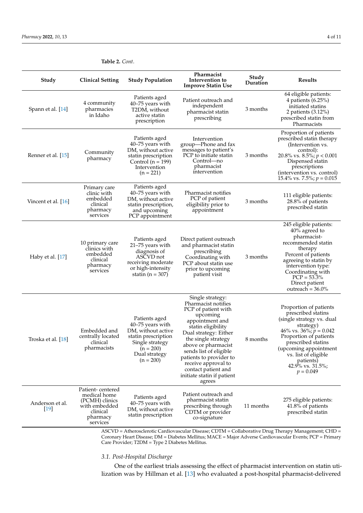| Study                     | <b>Clinical Setting</b>                                                                                               | <b>Study Population</b>                                                                                                                          | Pharmacist<br>Intervention to<br><b>Improve Statin Use</b>                                                                                                                                                                                                                                                                            | Study<br>Duration | <b>Results</b>                                                                                                                                                                                                                                                          |
|---------------------------|-----------------------------------------------------------------------------------------------------------------------|--------------------------------------------------------------------------------------------------------------------------------------------------|---------------------------------------------------------------------------------------------------------------------------------------------------------------------------------------------------------------------------------------------------------------------------------------------------------------------------------------|-------------------|-------------------------------------------------------------------------------------------------------------------------------------------------------------------------------------------------------------------------------------------------------------------------|
| Spann et al. [14]         | 4 community<br>pharmacies<br>in Idaho                                                                                 | Patients aged<br>40-75 years with<br>T2DM, without<br>active statin<br>prescription                                                              | Patient outreach and<br>independent<br>pharmacist statin<br>prescribing                                                                                                                                                                                                                                                               | 3 months          | 64 eligible patients:<br>4 patients $(6.25\%)$<br>initiated statins<br>2 patients (3.12%)<br>prescribed statin from<br>Pharmacists                                                                                                                                      |
| Renner et al. [15]        | Community<br>pharmacy                                                                                                 | Patients aged<br>40-75 years with<br>DM, without active<br>statin prescription<br>Control ( $n = 199$ )<br>Intervention<br>$(n = 221)$           | Intervention<br>group-Phone and fax<br>messages to patient's<br>PCP to initiate statin<br>Control-no<br>pharmacist<br>intervention                                                                                                                                                                                                    | 3 months          | Proportion of patients<br>prescribed statin therapy<br>(Intervention vs.<br>control):<br>20.8% vs. 8.5%; $p < 0.001$<br>Dispensed statin<br>prescriptions<br>(intervention vs. control)<br>15.4% vs. 7.5%; $p = 0.015$                                                  |
| Vincent et al. [16]       | Primary care<br>clinic with<br>embedded<br>clinical<br>pharmacy<br>services                                           | Patients aged<br>40–75 years with<br>DM, without active<br>statin prescription,<br>and upcoming<br>PCP appointment                               | Pharmacist notifies<br>PCP of patient<br>eligibility prior to<br>appointment                                                                                                                                                                                                                                                          | 3 months          | 111 eligible patients:<br>28.8% of patients<br>prescribed statin                                                                                                                                                                                                        |
| Haby et al. [17]          | 10 primary care<br>clinics with<br>embedded<br>clinical<br>pharmacy<br>services                                       | Patients aged<br>21-75 years with<br>diagnosis of<br>ASCVD not<br>receiving moderate<br>or high-intensity<br>statin ( $n = 307$ )                | Direct patient outreach<br>and pharmacist statin<br>prescribing<br>Coordinating with<br>PCP about statin use<br>prior to upcoming<br>patient visit                                                                                                                                                                                    | 3 months          | 245 eligible patients:<br>40% agreed to<br>pharmacist-<br>recommended statin<br>therapy<br>Percent of patients<br>agreeing to statin by<br>intervention type:<br>Coordinating with<br>$PCP = 53.3\%$<br>Direct patient<br>outreach = $36.0\%$                           |
| Troska et al. [18]        | Embedded and<br>centrally located<br>clinical<br>pharmacists                                                          | Patients aged<br>40-75 years with<br>DM, without active<br>statin prescription<br>Single strategy<br>$(n = 200)$<br>Dual strategy<br>$(n = 200)$ | Single strategy:<br>Pharmacist notifies<br>PCP of patient with<br>upcoming<br>appointment and<br>statin eligibility<br>Dual strategy: Either<br>the single strategy<br>above or pharmacist<br>sends list of eligible<br>patients to provider to<br>receive approval to<br>contact patient and<br>initiate statin if patient<br>agrees | 8 months          | Proportion of patients<br>prescribed statins<br>(single strategy vs. dual<br>strategy)<br>46% vs. 36%; $p = 0.042$<br>Proportion of patients<br>prescribed statins<br>(upcoming appointment<br>vs. list of eligible<br>patients)<br>42.9% vs. $31.5\%$ ;<br>$p = 0.049$ |
| Anderson et al.<br>$[19]$ | Patient-centered<br>medical home<br>(PCMH) clinics<br>with embedded<br>clinical<br>pharmacy<br>services<br>$\sqrt{C}$ | Patients aged<br>40–75 years with<br>DM, without active<br>statin prescription                                                                   | Patient outreach and<br>pharmacist statin<br>prescribing through<br>CDTM or provider<br>co-signature                                                                                                                                                                                                                                  | 11 months         | 275 eligible patients:<br>41.8% of patients<br>prescribed statin                                                                                                                                                                                                        |

#### <span id="page-5-0"></span>**Table 2.** *Cont*.

ASCVD = Atherosclerotic Cardiovascular Disease; CDTM = Collaborative Drug Therapy Management; CHD = Coronary Heart Disease; DM = Diabetes Mellitus; MACE = Major Adverse Cardiovascular Events; PCP = Primary Care Provider; T2DM = Type 2 Diabetes Mellitus.

#### *3.1. Post-Hospital Discharge*

One of the earliest trials assessing the effect of pharmacist intervention on statin utilization was by Hillman et al. [\[13\]](#page-11-11) who evaluated a post-hospital pharmacist-delivered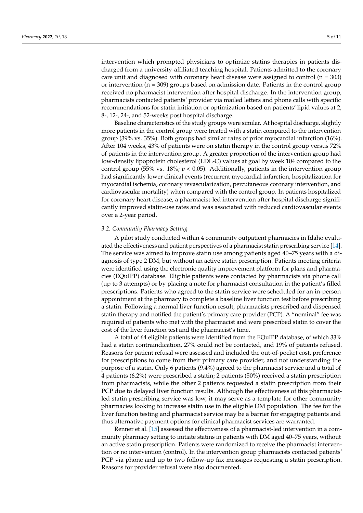intervention which prompted physicians to optimize statins therapies in patients discharged from a university-affiliated teaching hospital. Patients admitted to the coronary care unit and diagnosed with coronary heart disease were assigned to control  $(n = 303)$ or intervention  $(n = 309)$  groups based on admission date. Patients in the control group received no pharmacist intervention after hospital discharge. In the intervention group, pharmacists contacted patients' provider via mailed letters and phone calls with specific recommendations for statin initiation or optimization based on patients' lipid values at 2, 8-, 12-, 24-, and 52-weeks post hospital discharge.

Baseline characteristics of the study groups were similar. At hospital discharge, slightly more patients in the control group were treated with a statin compared to the intervention group (39% vs. 35%). Both groups had similar rates of prior myocardial infarction (16%). After 104 weeks, 43% of patients were on statin therapy in the control group versus 72% of patients in the intervention group. A greater proportion of the intervention group had low-density lipoprotein cholesterol (LDL-C) values at goal by week 104 compared to the control group (55% vs. 18%;  $p < 0.05$ ). Additionally, patients in the intervention group had significantly lower clinical events (recurrent myocardial infarction, hospitalization for myocardial ischemia, coronary revascularization, percutaneous coronary intervention, and cardiovascular mortality) when compared with the control group. In patients hospitalized for coronary heart disease, a pharmacist-led intervention after hospital discharge significantly improved statin-use rates and was associated with reduced cardiovascular events over a 2-year period.

#### *3.2. Community Pharmacy Setting*

A pilot study conducted within 4 community outpatient pharmacies in Idaho evaluated the effectiveness and patient perspectives of a pharmacist statin prescribing service [\[14\]](#page-11-12). The service was aimed to improve statin use among patients aged 40–75 years with a diagnosis of type 2 DM, but without an active statin prescription. Patients meeting criteria were identified using the electronic quality improvement platform for plans and pharmacies (EQuIPP) database. Eligible patients were contacted by pharmacists via phone call (up to 3 attempts) or by placing a note for pharmacist consultation in the patient's filled prescriptions. Patients who agreed to the statin service were scheduled for an in-person appointment at the pharmacy to complete a baseline liver function test before prescribing a statin. Following a normal liver function result, pharmacists prescribed and dispensed statin therapy and notified the patient's primary care provider (PCP). A "nominal" fee was required of patients who met with the pharmacist and were prescribed statin to cover the cost of the liver function test and the pharmacist's time.

A total of 64 eligible patients were identified from the EQuIPP database, of which 33% had a statin contraindication, 27% could not be contacted, and 19% of patients refused. Reasons for patient refusal were assessed and included the out-of-pocket cost, preference for prescriptions to come from their primary care provider, and not understanding the purpose of a statin. Only 6 patients (9.4%) agreed to the pharmacist service and a total of 4 patients (6.2%) were prescribed a statin; 2 patients (50%) received a statin prescription from pharmacists, while the other 2 patients requested a statin prescription from their PCP due to delayed liver function results. Although the effectiveness of this pharmacistled statin prescribing service was low, it may serve as a template for other community pharmacies looking to increase statin use in the eligible DM population. The fee for the liver function testing and pharmacist service may be a barrier for engaging patients and thus alternative payment options for clinical pharmacist services are warranted.

Renner et al. [\[15\]](#page-11-13) assessed the effectiveness of a pharmacist-led intervention in a community pharmacy setting to initiate statins in patients with DM aged 40–75 years, without an active statin prescription. Patients were randomized to receive the pharmacist intervention or no intervention (control). In the intervention group pharmacists contacted patients' PCP via phone and up to two follow-up fax messages requesting a statin prescription. Reasons for provider refusal were also documented.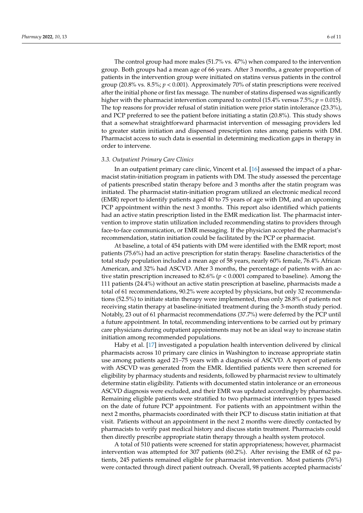The control group had more males (51.7% vs. 47%) when compared to the intervention group. Both groups had a mean age of 66 years. After 3 months, a greater proportion of patients in the intervention group were initiated on statins versus patients in the control group (20.8% vs.  $8.5\%$ ;  $p < 0.001$ ). Approximately 70% of statin prescriptions were received after the initial phone or first fax message. The number of statins dispensed was significantly higher with the pharmacist intervention compared to control (15.4% versus 7.5%; *p* = 0.015). The top reasons for provider refusal of statin initiation were prior statin intolerance (23.3%), and PCP preferred to see the patient before initiating a statin (20.8%). This study shows that a somewhat straightforward pharmacist intervention of messaging providers led to greater statin initiation and dispensed prescription rates among patients with DM. Pharmacist access to such data is essential in determining medication gaps in therapy in order to intervene.

#### *3.3. Outpatient Primary Care Clinics*

In an outpatient primary care clinic, Vincent et al. [\[16\]](#page-11-14) assessed the impact of a pharmacist statin-initiation program in patients with DM. The study assessed the percentage of patients prescribed statin therapy before and 3 months after the statin program was initiated. The pharmacist statin-initiation program utilized an electronic medical record (EMR) report to identify patients aged 40 to 75 years of age with DM, and an upcoming PCP appointment within the next 3 months. This report also identified which patients had an active statin prescription listed in the EMR medication list. The pharmacist intervention to improve statin utilization included recommending statins to providers through face-to-face communication, or EMR messaging. If the physician accepted the pharmacist's recommendation, statin initiation could be facilitated by the PCP or pharmacist.

At baseline, a total of 454 patients with DM were identified with the EMR report; most patients (75.6%) had an active prescription for statin therapy. Baseline characteristics of the total study population included a mean age of 58 years, nearly 60% female, 76.4% African American, and 32% had ASCVD. After 3 months, the percentage of patients with an active statin prescription increased to 82.6% (*p* < 0.0001 compared to baseline). Among the 111 patients (24.4%) without an active statin prescription at baseline, pharmacists made a total of 61 recommendations, 90.2% were accepted by physicians, but only 32 recommendations (52.5%) to initiate statin therapy were implemented, thus only 28.8% of patients not receiving statin therapy at baseline-initiated treatment during the 3-month study period. Notably, 23 out of 61 pharmacist recommendations (37.7%) were deferred by the PCP until a future appointment. In total, recommending interventions to be carried out by primary care physicians during outpatient appointments may not be an ideal way to increase statin initiation among recommended populations.

Haby et al. [\[17\]](#page-12-0) investigated a population health intervention delivered by clinical pharmacists across 10 primary care clinics in Washington to increase appropriate statin use among patients aged 21–75 years with a diagnosis of ASCVD. A report of patients with ASCVD was generated from the EMR. Identified patients were then screened for eligibility by pharmacy students and residents, followed by pharmacist review to ultimately determine statin eligibility. Patients with documented statin intolerance or an erroneous ASCVD diagnosis were excluded, and their EMR was updated accordingly by pharmacists. Remaining eligible patients were stratified to two pharmacist intervention types based on the date of future PCP appointment. For patients with an appointment within the next 2 months, pharmacists coordinated with their PCP to discuss statin initiation at that visit. Patients without an appointment in the next 2 months were directly contacted by pharmacists to verify past medical history and discuss statin treatment. Pharmacists could then directly prescribe appropriate statin therapy through a health system protocol.

A total of 510 patients were screened for statin appropriateness; however, pharmacist intervention was attempted for 307 patients (60.2%). After revising the EMR of 62 patients, 245 patients remained eligible for pharmacist intervention. Most patients (76%) were contacted through direct patient outreach. Overall, 98 patients accepted pharmacists'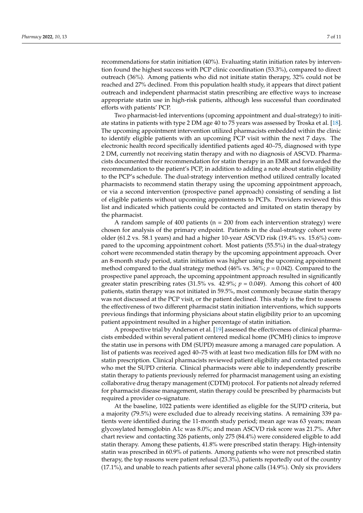recommendations for statin initiation (40%). Evaluating statin initiation rates by intervention found the highest success with PCP clinic coordination (53.3%), compared to direct outreach (36%). Among patients who did not initiate statin therapy, 32% could not be reached and 27% declined. From this population health study, it appears that direct patient outreach and independent pharmacist statin prescribing are effective ways to increase appropriate statin use in high-risk patients, although less successful than coordinated efforts with patients' PCP.

Two pharmacist-led interventions (upcoming appointment and dual-strategy) to initiate statins in patients with type 2 DM age 40 to 75 years was assessed by Troska et al. [\[18\]](#page-12-1). The upcoming appointment intervention utilized pharmacists embedded within the clinic to identify eligible patients with an upcoming PCP visit within the next 7 days. The electronic health record specifically identified patients aged 40–75, diagnosed with type 2 DM, currently not receiving statin therapy and with no diagnosis of ASCVD. Pharmacists documented their recommendation for statin therapy in an EMR and forwarded the recommendation to the patient's PCP, in addition to adding a note about statin eligibility to the PCP's schedule. The dual-strategy intervention method utilized centrally located pharmacists to recommend statin therapy using the upcoming appointment approach, or via a second intervention (prospective panel approach) consisting of sending a list of eligible patients without upcoming appointments to PCPs. Providers reviewed this list and indicated which patients could be contacted and imitated on statin therapy by the pharmacist.

A random sample of 400 patients ( $n = 200$  from each intervention strategy) were chosen for analysis of the primary endpoint. Patients in the dual-strategy cohort were older (61.2 vs. 58.1 years) and had a higher 10-year ASCVD risk (19.4% vs. 15.6%) compared to the upcoming appointment cohort. Most patients (55.5%) in the dual-strategy cohort were recommended statin therapy by the upcoming appointment approach. Over an 8-month study period, statin initiation was higher using the upcoming appointment method compared to the dual strategy method (46% vs. 36%; *p* = 0.042). Compared to the prospective panel approach, the upcoming appointment approach resulted in significantly greater statin prescribing rates  $(31.5\% \text{ vs. } 42.9\%; p = 0.049)$ . Among this cohort of 400 patients, statin therapy was not initiated in 59.5%, most commonly because statin therapy was not discussed at the PCP visit, or the patient declined. This study is the first to assess the effectiveness of two different pharmacist statin initiation interventions, which supports previous findings that informing physicians about statin eligibility prior to an upcoming patient appointment resulted in a higher percentage of statin initiation.

A prospective trial by Anderson et al. [\[19\]](#page-12-2) assessed the effectiveness of clinical pharmacists embedded within several patient centered medical home (PCMH) clinics to improve the statin use in persons with DM (SUPD) measure among a managed care population. A list of patients was received aged 40–75 with at least two medication fills for DM with no statin prescription. Clinical pharmacists reviewed patient eligibility and contacted patients who met the SUPD criteria. Clinical pharmacists were able to independently prescribe statin therapy to patients previously referred for pharmacist management using an existing collaborative drug therapy management (CDTM) protocol. For patients not already referred for pharmacist disease management, statin therapy could be prescribed by pharmacists but required a provider co-signature.

At the baseline, 1022 patients were identified as eligible for the SUPD criteria, but a majority (79.5%) were excluded due to already receiving statins. A remaining 339 patients were identified during the 11-month study period; mean age was 63 years; mean glycosylated hemoglobin A1c was 8.0%; and mean ASCVD risk score was 21.7%. After chart review and contacting 326 patients, only 275 (84.4%) were considered eligible to add statin therapy. Among these patients, 41.8% were prescribed statin therapy. High-intensity statin was prescribed in 60.9% of patients. Among patients who were not prescribed statin therapy, the top reasons were patient refusal (23.3%), patients reportedly out of the country (17.1%), and unable to reach patients after several phone calls (14.9%). Only six providers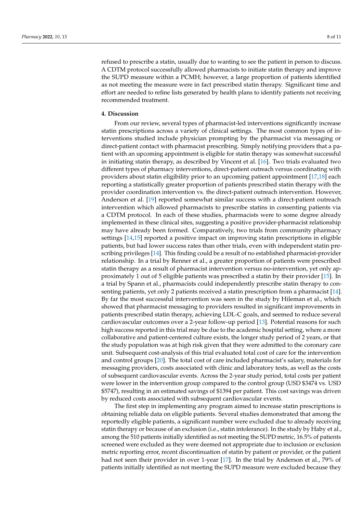refused to prescribe a statin, usually due to wanting to see the patient in person to discuss. A CDTM protocol successfully allowed pharmacists to initiate statin therapy and improve the SUPD measure within a PCMH; however, a large proportion of patients identified as not meeting the measure were in fact prescribed statin therapy. Significant time and effort are needed to refine lists generated by health plans to identify patients not receiving recommended treatment.

#### **4. Discussion**

From our review, several types of pharmacist-led interventions significantly increase statin prescriptions across a variety of clinical settings. The most common types of interventions studied include physician prompting by the pharmacist via messaging or direct-patient contact with pharmacist prescribing. Simply notifying providers that a patient with an upcoming appointment is eligible for statin therapy was somewhat successful in initiating statin therapy, as described by Vincent et al. [\[16\]](#page-11-14). Two trials evaluated two different types of pharmacy interventions, direct-patient outreach versus coordinating with providers about statin eligibility prior to an upcoming patient appointment [\[17](#page-12-0)[,18\]](#page-12-1) each reporting a statistically greater proportion of patients prescribed statin therapy with the provider coordination intervention vs. the direct-patient outreach intervention. However, Anderson et al. [\[19\]](#page-12-2) reported somewhat similar success with a direct-patient outreach intervention which allowed pharmacists to prescribe statins in consenting patients via a CDTM protocol. In each of these studies, pharmacists were to some degree already implemented in these clinical sites, suggesting a positive provider-pharmacist relationship may have already been formed. Comparatively, two trials from community pharmacy settings [\[14](#page-11-12)[,15\]](#page-11-13) reported a positive impact on improving statin prescriptions in eligible patients, but had lower success rates than other trials, even with independent statin prescribing privileges [\[14\]](#page-11-12). This finding could be a result of no established pharmacist-provider relationship. In a trial by Renner et al., a greater proportion of patients were prescribed statin therapy as a result of pharmacist intervention versus no-intervention, yet only approximately 1 out of 5 eligible patients was prescribed a statin by their provider [\[15\]](#page-11-13). In a trial by Spann et al., pharmacists could independently prescribe statin therapy to consenting patients, yet only 2 patients received a statin prescription from a pharmacist [\[14\]](#page-11-12). By far the most successful intervention was seen in the study by Hileman et al., which showed that pharmacist messaging to providers resulted in significant improvements in patients prescribed statin therapy, achieving LDL-C goals, and seemed to reduce several cardiovascular outcomes over a 2-year follow-up period [\[13\]](#page-11-11). Potential reasons for such high success reported in this trial may be due to the academic hospital setting, where a more collaborative and patient-centered culture exists, the longer study period of 2 years, or that the study population was at high risk given that they were admitted to the coronary care unit. Subsequent cost-analysis of this trial evaluated total cost of care for the intervention and control groups [\[20\]](#page-12-3). The total cost of care included pharmacist's salary, materials for messaging providers, costs associated with clinic and laboratory tests, as well as the costs of subsequent cardiovascular events. Across the 2-year study period, total costs per patient were lower in the intervention group compared to the control group (USD \$3474 vs. USD \$5747), resulting in an estimated savings of \$1394 per patient. This cost savings was driven by reduced costs associated with subsequent cardiovascular events.

The first step in implementing any program aimed to increase statin prescriptions is obtaining reliable data on eligible patients. Several studies demonstrated that among the reportedly eligible patients, a significant number were excluded due to already receiving statin therapy or because of an exclusion (i.e., statin intolerance). In the study by Haby et al., among the 510 patients initially identified as not meeting the SUPD metric, 16.5% of patients screened were excluded as they were deemed not appropriate due to inclusion or exclusion metric reporting error, recent discontinuation of statin by patient or provider, or the patient had not seen their provider in over 1-year [\[17\]](#page-12-0). In the trial by Anderson et al., 79% of patients initially identified as not meeting the SUPD measure were excluded because they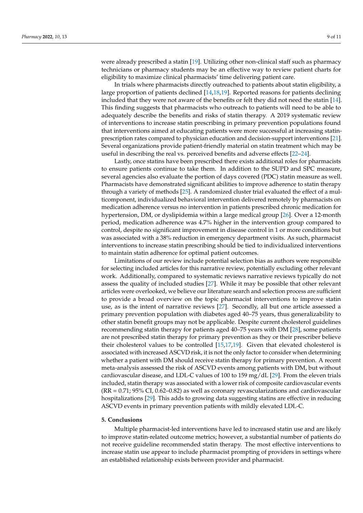were already prescribed a statin [\[19\]](#page-12-2). Utilizing other non-clinical staff such as pharmacy technicians or pharmacy students may be an effective way to review patient charts for eligibility to maximize clinical pharmacists' time delivering patient care.

In trials where pharmacists directly outreached to patients about statin eligibility, a large proportion of patients declined [\[14,](#page-11-12)[18,](#page-12-1)[19\]](#page-12-2). Reported reasons for patients declining included that they were not aware of the benefits or felt they did not need the statin [\[14\]](#page-11-12). This finding suggests that pharmacists who outreach to patients will need to be able to adequately describe the benefits and risks of statin therapy. A 2019 systematic review of interventions to increase statin prescribing in primary prevention populations found that interventions aimed at educating patients were more successful at increasing statinprescription rates compared to physician education and decision-support interventions [\[21\]](#page-12-4). Several organizations provide patient-friendly material on statin treatment which may be useful in describing the real vs. perceived benefits and adverse effects [\[22–](#page-12-5)[24\]](#page-12-6).

Lastly, once statins have been prescribed there exists additional roles for pharmacists to ensure patients continue to take them. In addition to the SUPD and SPC measure, several agencies also evaluate the portion of days covered (PDC) statin measure as well. Pharmacists have demonstrated significant abilities to improve adherence to statin therapy through a variety of methods [\[25\]](#page-12-7). A randomized cluster trial evaluated the effect of a multicomponent, individualized behavioral intervention delivered remotely by pharmacists on medication adherence versus no intervention in patients prescribed chronic medication for hypertension, DM, or dyslipidemia within a large medical group [\[26\]](#page-12-8). Over a 12-month period, medication adherence was 4.7% higher in the intervention group compared to control, despite no significant improvement in disease control in 1 or more conditions but was associated with a 38% reduction in emergency department visits. As such, pharmacist interventions to increase statin prescribing should be tied to individualized interventions to maintain statin adherence for optimal patient outcomes.

Limitations of our review include potential selection bias as authors were responsible for selecting included articles for this narrative review, potentially excluding other relevant work. Additionally, compared to systematic reviews narrative reviews typically do not assess the quality of included studies [\[27\]](#page-12-9). While it may be possible that other relevant articles were overlooked, we believe our literature search and selection process are sufficient to provide a broad overview on the topic pharmacist interventions to improve statin use, as is the intent of narrative reviews [\[27\]](#page-12-9). Secondly, all but one article assessed a primary prevention population with diabetes aged 40–75 years, thus generalizability to other statin benefit groups may not be applicable. Despite current cholesterol guidelines recommending statin therapy for patients aged 40–75 years with DM [\[28\]](#page-12-10), some patients are not prescribed statin therapy for primary prevention as they or their prescriber believe their cholesterol values to be controlled [\[15](#page-11-13)[,17](#page-12-0)[,19\]](#page-12-2). Given that elevated cholesterol is associated with increased ASCVD risk, it is not the only factor to consider when determining whether a patient with DM should receive statin therapy for primary prevention. A recent meta-analysis assessed the risk of ASCVD events among patients with DM, but without cardiovascular disease, and LDL-C values of 100 to 159 mg/dL [\[29\]](#page-12-11). From the eleven trials included, statin therapy was associated with a lower risk of composite cardiovascular events (RR = 0.71; 95% CI, 0.62–0.82) as well as coronary revascularizations and cardiovascular hospitalizations [\[29\]](#page-12-11). This adds to growing data suggesting statins are effective in reducing ASCVD events in primary prevention patients with mildly elevated LDL-C.

#### **5. Conclusions**

Multiple pharmacist-led interventions have led to increased statin use and are likely to improve statin-related outcome metrics; however, a substantial number of patients do not receive guideline recommended statin therapy. The most effective interventions to increase statin use appear to include pharmacist prompting of providers in settings where an established relationship exists between provider and pharmacist.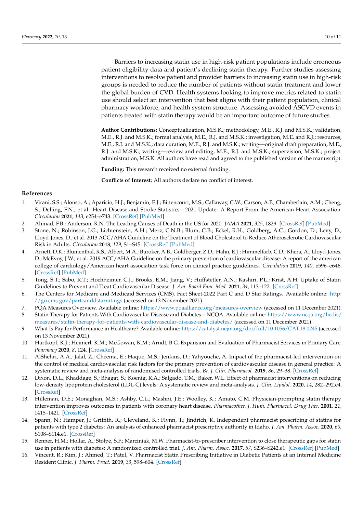Barriers to increasing statin use in high-risk patient populations include erroneous patient eligibility data and patient's declining statin therapy. Further studies assessing interventions to resolve patient and provider barriers to increasing statin use in high-risk groups is needed to reduce the number of patients without statin treatment and lower the global burden of CVD. Health systems looking to improve metrics related to statin use should select an intervention that best aligns with their patient population, clinical pharmacy workforce, and health system structure. Assessing avoided ASCVD events in patients treated with statin therapy would be an important outcome of future studies.

**Author Contributions:** Conceptualization, M.S.K.; methodology, M.E., R.J. and M.S.K.; validation, M.E., R.J. and M.S.K.; formal analysis, M.E., R.J. and M.S.K.; investigation, M.E. and R.J.; resources, M.E., R.J. and M.S.K.; data curation, M.E., R.J. and M.S.K.; writing—original draft preparation, M.E., R.J. and M.S.K.; writing—review and editing, M.E., R.J. and M.S.K.; supervision, M.S.K.; project administration, M.S.K. All authors have read and agreed to the published version of the manuscript.

**Funding:** This research received no external funding.

**Conflicts of Interest:** All authors declare no conflict of interest.

#### **References**

- <span id="page-11-0"></span>1. Virani, S.S.; Alonso, A.; Aparicio, H.J.; Benjamin, E.J.; Bittencourt, M.S.; Callaway, C.W.; Carson, A.P.; Chamberlain, A.M.; Cheng, S.; Delling, F.N.; et al. Heart Disease and Stroke Statistics—2021 Update: A Report From the American Heart Association. *Circulation* **2021**, *143*, e254–e743. [\[CrossRef\]](http://doi.org/10.1161/cir.0000000000000950) [\[PubMed\]](http://www.ncbi.nlm.nih.gov/pubmed/33501848)
- <span id="page-11-1"></span>2. Ahmad, F.B.; Anderson, R.N. The Leading Causes of Death in the US for 2020. *JAMA* **2021**, *325*, 1829. [\[CrossRef\]](http://doi.org/10.1001/jama.2021.5469) [\[PubMed\]](http://www.ncbi.nlm.nih.gov/pubmed/33787821)
- <span id="page-11-2"></span>3. Stone, N.; Robinson, J.G.; Lichtenstein, A.H.; Merz, C.N.B.; Blum, C.B.; Eckel, R.H.; Goldberg, A.C.; Gordon, D.; Levy, D.; Lloyd-Jones, D.; et al. 2013 ACC/AHA Guideline on the Treatment of Blood Cholesterol to Reduce Atherosclerotic Cardiovascular Risk in Adults. *Circulation* **2013**, *129*, S1–S45. [\[CrossRef\]](http://doi.org/10.1161/01.cir.0000437738.63853.7a) [\[PubMed\]](http://www.ncbi.nlm.nih.gov/pubmed/24222016)
- <span id="page-11-3"></span>4. Arnett, D.K.; Blumenthal, R.S.; Albert, M.A.; Buroker, A.B.; Goldberger, Z.D.; Hahn, E.J.; Himmelfarb, C.D.; Khera, A.; Lloyd-Jones, D.; McEvoy, J.W.; et al. 2019 ACC/AHA Guideline on the primary prevention of cardiovascular disease: A report of the american college of cardiology/American heart association task force on clinical practice guidelines. *Circulation* **2019**, *140*, e596–e646. [\[CrossRef\]](http://doi.org/10.1161/CIR.0000000000000678) [\[PubMed\]](http://www.ncbi.nlm.nih.gov/pubmed/30879355)
- <span id="page-11-4"></span>5. Tong, S.T.; Sabo, R.T.; Hochheimer, C.J.; Brooks, E.M.; Jiang, V.; Huffstetler, A.N.; Kashiri, P.L.; Krist, A.H. Uptake of Statin Guidelines to Prevent and Treat Cardiovascular Disease. *J. Am. Board Fam. Med.* **2021**, *34*, 113–122. [\[CrossRef\]](http://doi.org/10.3122/jabfm.2021.01.200292)
- <span id="page-11-5"></span>6. The Centers for Medicare and Medicaid Services (CMS). Fact Sheet-2022 Part C and D Star Ratings. Available online: [http:](http://go.cms.gov/partcanddstarratings) [//go.cms.gov/partcanddstarratings](http://go.cms.gov/partcanddstarratings) (accessed on 13 November 2021).
- <span id="page-11-10"></span>7. PQA Measures Overview. Available online: <https://www.pqaalliance.org/measures-overview> (accessed on 11 December 2021).
- <span id="page-11-6"></span>8. Statin Therapy for Patients With Cardiovascular Disease and Diabetes—NCQA. Available online: [https://www.ncqa.org/hedis/](https://www.ncqa.org/hedis/measures/statin-therapy-for-patients-with-cardiovascular-disease-and-diabetes/) [measures/statin-therapy-for-patients-with-cardiovascular-disease-and-diabetes/](https://www.ncqa.org/hedis/measures/statin-therapy-for-patients-with-cardiovascular-disease-and-diabetes/) (accessed on 11 December 2021).
- <span id="page-11-7"></span>9. What Is Pay for Performance in Healthcare? Available online: <https://catalyst.nejm.org/doi/full/10.1056/CAT.18.0245> (accessed on 13 November 2021).
- <span id="page-11-8"></span>10. Hartkopf, K.J.; Heimerl, K.M.; McGowan, K.M.; Arndt, B.G. Expansion and Evaluation of Pharmacist Services in Primary Care. *Pharmacy* **2020**, *8*, 124. [\[CrossRef\]](http://doi.org/10.3390/pharmacy8030124)
- 11. AlShehri, A.A.; Jalal, Z.; Cheema, E.; Haque, M.S.; Jenkins, D.; Yahyouche, A. Impact of the pharmacist-led intervention on the control of medical cardiovascular risk factors for the primary prevention of cardiovascular disease in general practice: A systematic review and meta-analysis of randomised controlled trials. *Br. J. Clin. Pharmacol.* **2019**, *86*, 29–38. [\[CrossRef\]](http://doi.org/10.1111/bcp.14164)
- <span id="page-11-9"></span>12. Dixon, D.L.; Khaddage, S.; Bhagat, S.; Koenig, R.A.; Salgado, T.M.; Baker, W.L. Effect of pharmacist interventions on reducing low-density lipoprotein cholesterol (LDL-C) levels: A systematic review and meta-analysis. *J. Clin. Lipidol.* **2020**, *14*, 282–292.e4. [\[CrossRef\]](http://doi.org/10.1016/j.jacl.2020.04.004)
- <span id="page-11-11"></span>13. Hilleman, D.E.; Monaghan, M.S.; Ashby, C.L.; Mashni, J.E.; Woolley, K.; Amato, C.M. Physician-prompting statin therapy intervention improves outcomes in patients with coronary heart disease. *Pharmacother. J. Hum. Pharmacol. Drug Ther.* **2001**, *21*, 1415–1421. [\[CrossRef\]](http://doi.org/10.1592/phco.21.17.1415.34422)
- <span id="page-11-12"></span>14. Spann, N.; Hamper, J.; Griffith, R.; Cleveland, K.; Flynn, T.; Jindrich, K. Independent pharmacist prescribing of statins for patients with type 2 diabetes: An analysis of enhanced pharmacist prescriptive authority in Idaho. *J. Am. Pharm. Assoc.* **2020**, *60*, S108–S114.e1. [\[CrossRef\]](http://doi.org/10.1016/j.japh.2019.12.015)
- <span id="page-11-13"></span>15. Renner, H.M.; Hollar, A.; Stolpe, S.F.; Marciniak, M.W. Pharmacist-to-prescriber intervention to close therapeutic gaps for statin use in patients with diabetes: A randomized controlled trial. *J. Am. Pharm. Assoc.* **2017**, *57*, S236–S242.e1. [\[CrossRef\]](http://doi.org/10.1016/j.japh.2017.04.009) [\[PubMed\]](http://www.ncbi.nlm.nih.gov/pubmed/28506378)
- <span id="page-11-14"></span>16. Vincent, R.; Kim, J.; Ahmed, T.; Patel, V. Pharmacist Statin Prescribing Initiative in Diabetic Patients at an Internal Medicine Resident Clinic. *J. Pharm. Pract.* **2019**, *33*, 598–604. [\[CrossRef\]](http://doi.org/10.1177/0897190018824820)